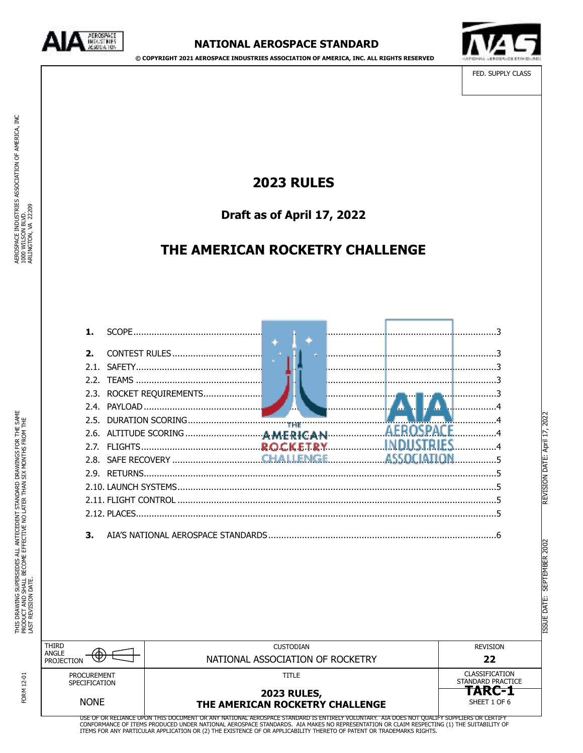

**© COPYRIGHT 2021 AEROSPACE INDUSTRIES ASSOCIATION OF AMERICA, INC. ALL RIGHTS RESERVED**



FED. SUPPLY CLASS

ISSUE DATE: SEPTEMBER 2002 REVISION DATE: April 17, 2022

REVISION DATE: April 17, 2022

# **2023 RULES**

**Draft as of April 17, 2022** 

# **THE AMERICAN ROCKETRY CHALLENGE**

| $\mathbf{p}$ |  |  |  |
|--------------|--|--|--|
|              |  |  |  |
|              |  |  |  |
|              |  |  |  |
|              |  |  |  |
|              |  |  |  |
|              |  |  |  |
|              |  |  |  |
|              |  |  |  |
|              |  |  |  |
|              |  |  |  |
|              |  |  |  |
|              |  |  |  |
| З.           |  |  |  |

|                                                    |                                                                       |                                                                      | 2002<br><b>SEPTEMBER</b><br><b>DATE:</b><br><b>ESSLE</b> |
|----------------------------------------------------|-----------------------------------------------------------------------|----------------------------------------------------------------------|----------------------------------------------------------|
| <b>THIRD</b><br>ANGLE<br>Ψ.<br>PROJECTION          | <b>CUSTODIAN</b><br>NATIONAL ASSOCIATION OF ROCKETRY                  | <b>REVISION</b><br>22                                                |                                                          |
| <b>PROCUREMENT</b><br>SPECIFICATION<br><b>NONE</b> | <b>TITLE</b><br><b>2023 RULES,</b><br>THE AMERICAN ROCKETRY CHALLENGE | CLASSIFICATION<br>STANDARD PRACTICE<br><b>TARC-1</b><br>SHEET 1 OF 6 |                                                          |

FORM 12-01 FORM 12-01

USE OF OR RELIANCE UPON THIS DOCUMENT OR ANY NATIONAL AEROSPACE STANDARD IS ENTIRELY VOLUNTARY. AIA DOES NOT QUALIFY SUPPLIERS OR CERTIFY<br>CONFORMANCE OF ITEMS PRODUCED UNDER NATIONAL AEROSPACE STANDARDS. AIA MAKES NO REPRE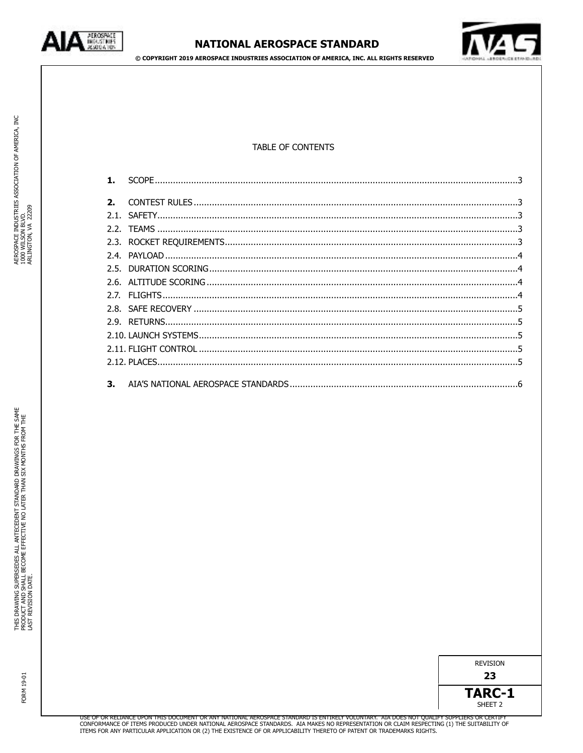

**© COPYRIGHT 2019 AEROSPACE INDUSTRIES ASSOCIATION OF AMERICA, INC. ALL RIGHTS RESERVED**



# TABLE OF CONTENTS

| 2. |  |
|----|--|
|    |  |
|    |  |
|    |  |
|    |  |
|    |  |
|    |  |
|    |  |
|    |  |
|    |  |
|    |  |
|    |  |
|    |  |
|    |  |
|    |  |
|    |  |

FORM 19-01

FORM 19-01

AEROSPACE INDUSTRIES ASSOCIATION OF AMERICA, INC

AEROSPACE INDUSTRIES ASSOCIATION OF AMERICA, INC<br>1000 WILSON BLVD.<br>ARLINGTON, VA 22209

1000 WILSON BLVD. ARLINGTON, VA 22209

| <b>REVISION</b> |  |
|-----------------|--|
| 23              |  |

**TARC-1**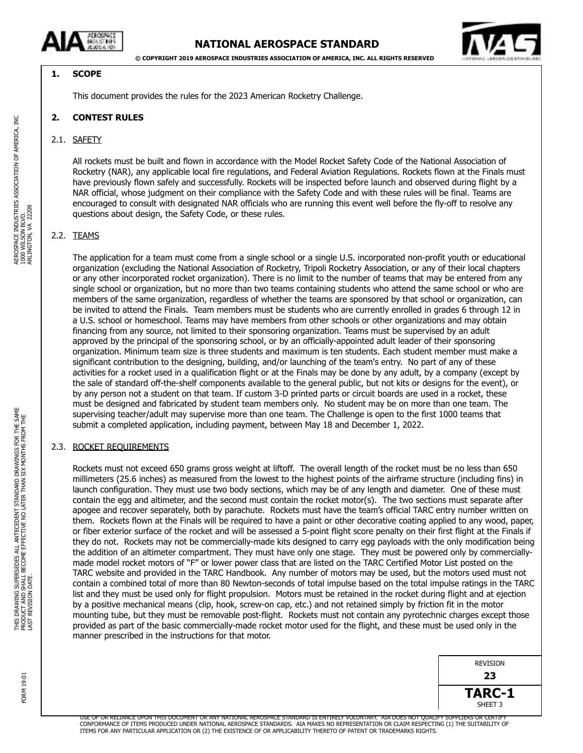



# <span id="page-2-0"></span>**1. SCOPE**

<span id="page-2-1"></span>This document provides the rules for the 2023 American Rocketry Challenge.

# **2. CONTEST RULES**

### <span id="page-2-2"></span>2.1. SAFETY

All rockets must be built and flown in accordance with the Model Rocket Safety Code of the National Association of Rocketry (NAR), any applicable local fire regulations, and Federal Aviation Regulations. Rockets flown at the Finals must have previously flown safely and successfully. Rockets will be inspected before launch and observed during flight by a NAR official, whose judgment on their compliance with the Safety Code and with these rules will be final. Teams are encouraged to consult with designated NAR officials who are running this event well before the fly-off to resolve any questions about design, the Safety Code, or these rules.

### <span id="page-2-3"></span>2.2. TEAMS

The application for a team must come from a single school or a single U.S. incorporated non-profit youth or educational organization (excluding the National Association of Rocketry, Tripoli Rocketry Association, or any of their local chapters or any other incorporated rocket organization). There is no limit to the number of teams that may be entered from any single school or organization, but no more than two teams containing students who attend the same school or who are members of the same organization, regardless of whether the teams are sponsored by that school or organization, can be invited to attend the Finals. Team members must be students who are currently enrolled in grades 6 through 12 in a U.S. school or homeschool. Teams may have members from other schools or other organizations and may obtain financing from any source, not limited to their sponsoring organization. Teams must be supervised by an adult approved by the principal of the sponsoring school, or by an officially-appointed adult leader of their sponsoring organization. Minimum team size is three students and maximum is ten students. Each student member must make a significant contribution to the designing, building, and/or launching of the team's entry. No part of any of these activities for a rocket used in a qualification flight or at the Finals may be done by any adult, by a company (except by the sale of standard off-the-shelf components available to the general public, but not kits or designs for the event), or by any person not a student on that team. If custom 3-D printed parts or circuit boards are used in a rocket, these must be designed and fabricated by student team members only. No student may be on more than one team. The supervising teacher/adult may supervise more than one team. The Challenge is open to the first 1000 teams that submit a completed application, including payment, between May 18 and December 1, 2022.

### <span id="page-2-4"></span>2.3. ROCKET REQUIREMENTS

Rockets must not exceed 650 grams gross weight at liftoff. The overall length of the rocket must be no less than 650 millimeters (25.6 inches) as measured from the lowest to the highest points of the airframe structure (including fins) in launch configuration. They must use two body sections, which may be of any length and diameter. One of these must contain the egg and altimeter, and the second must contain the rocket motor(s). The two sections must separate after apogee and recover separately, both by parachute. Rockets must have the team's official TARC entry number written on them. Rockets flown at the Finals will be required to have a paint or other decorative coating applied to any wood, paper, or fiber exterior surface of the rocket and will be assessed a 5-point flight score penalty on their first flight at the Finals if they do not. Rockets may not be commercially-made kits designed to carry egg payloads with the only modification being the addition of an altimeter compartment. They must have only one stage. They must be powered only by commerciallymade model rocket motors of "F" or lower power class that are listed on the TARC Certified Motor List posted on the TARC website and provided in the TARC Handbook. Any number of motors may be used, but the motors used must not contain a combined total of more than 80 Newton-seconds of total impulse based on the total impulse ratings in the TARC list and they must be used only for flight propulsion. Motors must be retained in the rocket during flight and at ejection by a positive mechanical means (clip, hook, screw-on cap, etc.) and not retained simply by friction fit in the motor mounting tube, but they must be removable post-flight. Rockets must not contain any pyrotechnic charges except those provided as part of the basic commercially-made rocket motor used for the flight, and these must be used only in the manner prescribed in the instructions for that motor.





USE OF OR RELIANCE UPON THIS DOCUMENT OR ANY NATIONAL AEROSPACE STANDARD IS ENTIRELY VOLUNTARY. AIA DOES NOT QUALIFY SUPPLIERS OR CERTIFY CONFORMANCE OF ITEMS PRODUCED UNDER NATIONAL AEROSPACE STANDARDS. AIA MAKES NO REPRESENTATION OR CLAIM RESPECTING (1) THE SUITABILITY OF<br>ITEMS FOR ANY PARTICULAR APPLICATION OR (2) THE EXISTENCE OF OR APPLICABILITY THERET

FORM 19-01

FORM 19-0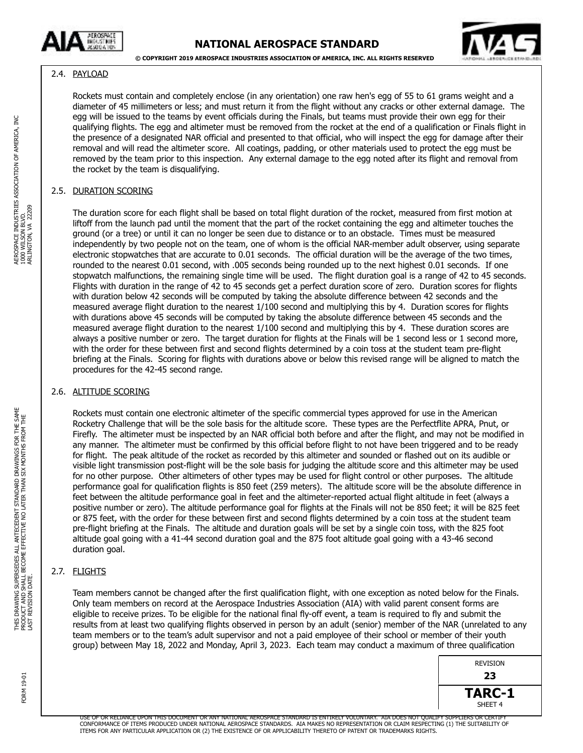



# <span id="page-3-0"></span>2.4. PAYLOAD

Rockets must contain and completely enclose (in any orientation) one raw hen's egg of 55 to 61 grams weight and a diameter of 45 millimeters or less; and must return it from the flight without any cracks or other external damage. The egg will be issued to the teams by event officials during the Finals, but teams must provide their own egg for their qualifying flights. The egg and altimeter must be removed from the rocket at the end of a qualification or Finals flight in the presence of a designated NAR official and presented to that official, who will inspect the egg for damage after their removal and will read the altimeter score. All coatings, padding, or other materials used to protect the egg must be removed by the team prior to this inspection. Any external damage to the egg noted after its flight and removal from the rocket by the team is disqualifying.

# <span id="page-3-1"></span>2.5. DURATION SCORING

The duration score for each flight shall be based on total flight duration of the rocket, measured from first motion at liftoff from the launch pad until the moment that the part of the rocket containing the egg and altimeter touches the ground (or a tree) or until it can no longer be seen due to distance or to an obstacle. Times must be measured independently by two people not on the team, one of whom is the official NAR-member adult observer, using separate electronic stopwatches that are accurate to 0.01 seconds. The official duration will be the average of the two times, rounded to the nearest 0.01 second, with .005 seconds being rounded up to the next highest 0.01 seconds. If one stopwatch malfunctions, the remaining single time will be used. The flight duration goal is a range of 42 to 45 seconds. Flights with duration in the range of 42 to 45 seconds get a perfect duration score of zero. Duration scores for flights with duration below 42 seconds will be computed by taking the absolute difference between 42 seconds and the measured average flight duration to the nearest 1/100 second and multiplying this by 4. Duration scores for flights with durations above 45 seconds will be computed by taking the absolute difference between 45 seconds and the measured average flight duration to the nearest 1/100 second and multiplying this by 4. These duration scores are always a positive number or zero. The target duration for flights at the Finals will be 1 second less or 1 second more, with the order for these between first and second flights determined by a coin toss at the student team pre-flight briefing at the Finals. Scoring for flights with durations above or below this revised range will be aligned to match the procedures for the 42-45 second range.

# <span id="page-3-2"></span>2.6. ALTITUDE SCORING

Rockets must contain one electronic altimeter of the specific commercial types approved for use in the American Rocketry Challenge that will be the sole basis for the altitude score. These types are the Perfectflite APRA, Pnut, or Firefly. The altimeter must be inspected by an NAR official both before and after the flight, and may not be modified in any manner. The altimeter must be confirmed by this official before flight to not have been triggered and to be ready for flight. The peak altitude of the rocket as recorded by this altimeter and sounded or flashed out on its audible or visible light transmission post-flight will be the sole basis for judging the altitude score and this altimeter may be used for no other purpose. Other altimeters of other types may be used for flight control or other purposes. The altitude performance goal for qualification flights is 850 feet (259 meters). The altitude score will be the absolute difference in feet between the altitude performance goal in feet and the altimeter-reported actual flight altitude in feet (always a positive number or zero). The altitude performance goal for flights at the Finals will not be 850 feet; it will be 825 feet or 875 feet, with the order for these between first and second flights determined by a coin toss at the student team pre-flight briefing at the Finals. The altitude and duration goals will be set by a single coin toss, with the 825 foot altitude goal going with a 41-44 second duration goal and the 875 foot altitude goal going with a 43-46 second duration goal.

# <span id="page-3-3"></span>2.7. FLIGHTS

Team members cannot be changed after the first qualification flight, with one exception as noted below for the Finals. Only team members on record at the Aerospace Industries Association (AIA) with valid parent consent forms are eligible to receive prizes. To be eligible for the national final fly-off event, a team is required to fly and submit the results from at least two qualifying flights observed in person by an adult (senior) member of the NAR (unrelated to any team members or to the team's adult supervisor and not a paid employee of their school or member of their youth group) between May 18, 2022 and Monday, April 3, 2023. Each team may conduct a maximum of three qualification

| <b>REVISION</b>    |
|--------------------|
| 23                 |
| TARC-1             |
| SHFFT <sub>4</sub> |

USE OF OR RELIANCE UPON THIS DOCUMENT OR ANY NATIONAL AEROSPACE STANDARD IS ENTIRELY VOLUNTARY. AIA DOES NOT QUALIFY SUPPLIERS OR CERTIFY CONFORMANCE OF ITEMS PRODUCED UNDER NATIONAL AEROSPACE STANDARDS. AIA MAKES NO REPRESENTATION OR CLAIM RESPECTING (1) THE SUITABILITY OF<br>ITEMS FOR ANY PARTICULAR APPLICATION OR (2) THE EXISTENCE OF OR APPLICABILITY THERET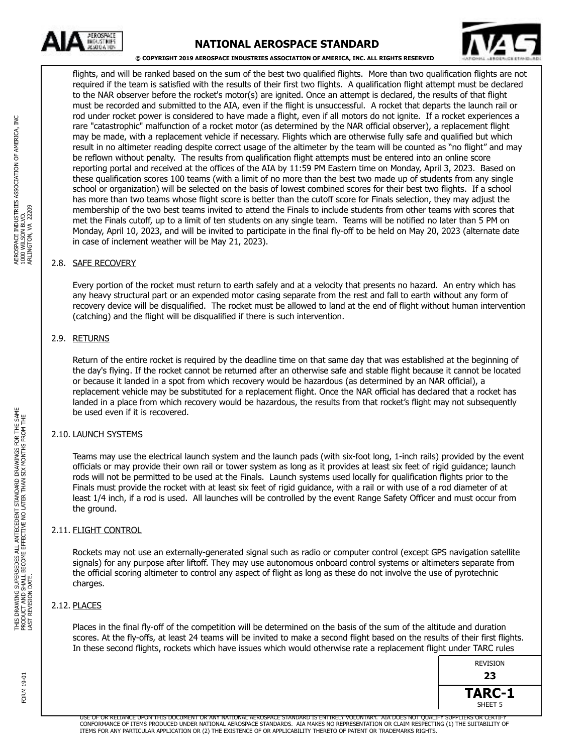

# **NATIONAL AEROSPACE STANDARD**



#### **© COPYRIGHT 2019 AEROSPACE INDUSTRIES ASSOCIATION OF AMERICA, INC. ALL RIGHTS RESERVED**

flights, and will be ranked based on the sum of the best two qualified flights. More than two qualification flights are not required if the team is satisfied with the results of their first two flights. A qualification flight attempt must be declared to the NAR observer before the rocket's motor(s) are ignited. Once an attempt is declared, the results of that flight must be recorded and submitted to the AIA, even if the flight is unsuccessful. A rocket that departs the launch rail or rod under rocket power is considered to have made a flight, even if all motors do not ignite. If a rocket experiences a rare "catastrophic" malfunction of a rocket motor (as determined by the NAR official observer), a replacement flight may be made, with a replacement vehicle if necessary. Flights which are otherwise fully safe and qualified but which result in no altimeter reading despite correct usage of the altimeter by the team will be counted as "no flight" and may be reflown without penalty. The results from qualification flight attempts must be entered into an online score reporting portal and received at the offices of the AIA by 11:59 PM Eastern time on Monday, April 3, 2023. Based on these qualification scores 100 teams (with a limit of no more than the best two made up of students from any single school or organization) will be selected on the basis of lowest combined scores for their best two flights. If a school has more than two teams whose flight score is better than the cutoff score for Finals selection, they may adjust the membership of the two best teams invited to attend the Finals to include students from other teams with scores that met the Finals cutoff, up to a limit of ten students on any single team. Teams will be notified no later than 5 PM on Monday, April 10, 2023, and will be invited to participate in the final fly-off to be held on May 20, 2023 (alternate date in case of inclement weather will be May 21, 2023).

#### 2.8. SAFE RECOVERY

<span id="page-4-0"></span>Every portion of the rocket must return to earth safely and at a velocity that presents no hazard. An entry which has any heavy structural part or an expended motor casing separate from the rest and fall to earth without any form of recovery device will be disqualified. The rocket must be allowed to land at the end of flight without human intervention (catching) and the flight will be disqualified if there is such intervention.

#### <span id="page-4-1"></span>2.9. RETURNS

Return of the entire rocket is required by the deadline time on that same day that was established at the beginning of the day's flying. If the rocket cannot be returned after an otherwise safe and stable flight because it cannot be located or because it landed in a spot from which recovery would be hazardous (as determined by an NAR official), a replacement vehicle may be substituted for a replacement flight. Once the NAR official has declared that a rocket has landed in a place from which recovery would be hazardous, the results from that rocket's flight may not subsequently be used even if it is recovered.

### <span id="page-4-2"></span>2.10. LAUNCH SYSTEMS

Teams may use the electrical launch system and the launch pads (with six-foot long, 1-inch rails) provided by the event officials or may provide their own rail or tower system as long as it provides at least six feet of rigid guidance; launch rods will not be permitted to be used at the Finals. Launch systems used locally for qualification flights prior to the Finals must provide the rocket with at least six feet of rigid guidance, with a rail or with use of a rod diameter of at least 1/4 inch, if a rod is used. All launches will be controlled by the event Range Safety Officer and must occur from the ground.

### <span id="page-4-3"></span>2.11. FLIGHT CONTROL

Rockets may not use an externally-generated signal such as radio or computer control (except GPS navigation satellite signals) for any purpose after liftoff. They may use autonomous onboard control systems or altimeters separate from the official scoring altimeter to control any aspect of flight as long as these do not involve the use of pyrotechnic charges.

### <span id="page-4-4"></span>2.12. PLACES

Places in the final fly-off of the competition will be determined on the basis of the sum of the altitude and duration scores. At the fly-offs, at least 24 teams will be invited to make a second flight based on the results of their first flights. In these second flights, rockets which have issues which would otherwise rate a replacement flight under TARC rules

| REVISION           |  |
|--------------------|--|
| 23                 |  |
| TARC-1             |  |
| SHEET <sub>5</sub> |  |

USE OF OR RELIANCE UPON THIS DOCUMENT OR ANY NATIONAL AEROSPACE STANDARD IS ENTIRELY VOLUNTARY. AIA DOES NOT QUALIFY SUPPLIERS OR CERTIFY CONFORMANCE OF ITEMS PRODUCED UNDER NATIONAL AEROSPACE STANDARDS. AIA MAKES NO REPRESENTATION OR CLAIM RESPECTING (1) THE SUITABILITY OF<br>ITEMS FOR ANY PARTICULAR APPLICATION OR (2) THE EXISTENCE OF OR APPLICABILITY THERET

**DRAWINGS FOR THE SAME**<br>I SIX MONTHS FROM THE

LAST REVISION DATE.